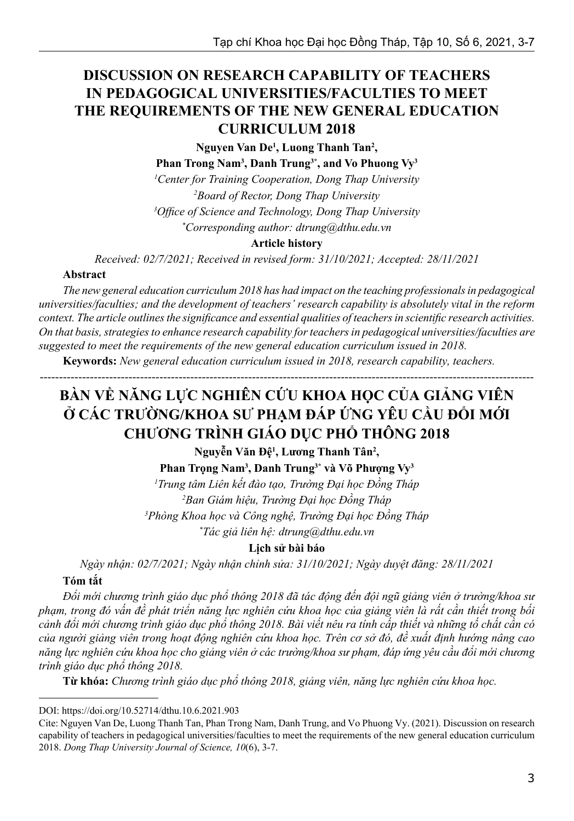# **DISCUSSION ON RESEARCH CAPABILITY OF TEACHERS IN PEDAGOGICAL UNIVERSITIES/FACULTIES TO MEET THE REQUIREMENTS OF THE NEW GENERAL EDUCATION CURRICULUM 2018**

**Nguyen Van De1 , Luong Thanh Tan2 ,** 

**Phan Trong Nam3 , Danh Trung3\*, and Vo Phuong Vy3**

*1 Center for Training Cooperation, Dong Thap University 2 Board of Rector, Dong Thap University*

*3 Office of Science and Technology, Dong Thap University*

*\* Corresponding author: dtrung@dthu.edu.vn*

#### **Article history**

*Received: 02/7/2021; Received in revised form: 31/10/2021; Accepted: 28/11/2021*

#### **Abstract**

*The new general education curriculum 2018 has had impact on the teaching professionals in pedagogical universities/faculties; and the development of teachers' research capability is absolutely vital in the reform context. The article outlines the significance and essential qualities of teachers in scientific research activities. On that basis, strategies to enhance research capability for teachers in pedagogical universities/faculties are suggested to meet the requirements of the new general education curriculum issued in 2018.*

**Keywords:** *New general education curriculum issued in 2018, research capability, teachers.*

# **BÀN VỀ NĂNG LỰC NGHIÊN CỨU KHOA HỌC CỦA GIẢNG VIÊN**  Ở CÁC TRƯỜNG/KHOA SƯ PHẠM ĐÁP ỨNG YÊU CẦU ĐỒI MỚI **CHƯƠNG TRÌNH GIÁO DỤC PHỔ THÔNG 2018**

--------------------------------------------------------------------------------------------------------------------------------

**Nguyễn Văn Đệ<sup>1</sup> , Lương Thanh Tân<sup>2</sup> ,** 

**Phan Trọng Nam<sup>3</sup> , Danh Trung3\* và Võ Phượng Vy<sup>3</sup>**

 *Trung tâm Liên kết đào tạo, Trường Đại học Đồng Tháp Ban Giám hiệu, Trường Đại học Đồng Tháp Phòng Khoa học và Công nghệ, Trường Đại học Đồng Tháp \* Tác giả liên hệ: dtrung@dthu.edu.vn*

**Lịch sử bài báo**

*Ngày nhận: 02/7/2021; Ngày nhận chỉnh sửa: 31/10/2021; Ngày duyệt đăng: 28/11/2021*

### **Tóm tắt**

*Đổi mới chương trình giáo dục phổ thông 2018 đã tác động đến đội ngũ giảng viên ở trường/khoa sư phạm, trong đó vấn đề phát triển năng lực nghiên cứu khoa học của giảng viên là rất cần thiết trong bối cảnh đổi mới chương trình giáo dục phổ thông 2018. Bài viết nêu ra tính cấp thiết và những tố chất cần có của người giảng viên trong hoạt động nghiên cứu khoa học. Trên cơ sở đó, đề xuất định hướng nâng cao năng lực nghiên cứu khoa học cho giảng viên ở các trường/khoa sư phạm, đáp ứng yêu cầu đổi mới chương trình giáo dục phổ thông 2018.* 

**Từ khóa:** *Chương trình giáo dục phổ thông 2018, giảng viên, năng lực nghiên cứu khoa học.*

DOI: https://doi.org/10.52714/dthu.10.6.2021.903

Cite: Nguyen Van De, Luong Thanh Tan, Phan Trong Nam, Danh Trung, and Vo Phuong Vy. (2021). Discussion on research capability of teachers in pedagogical universities/faculties to meet the requirements of the new general education curriculum 2018. *Dong Thap University Journal of Science, 10*(6), 3-7.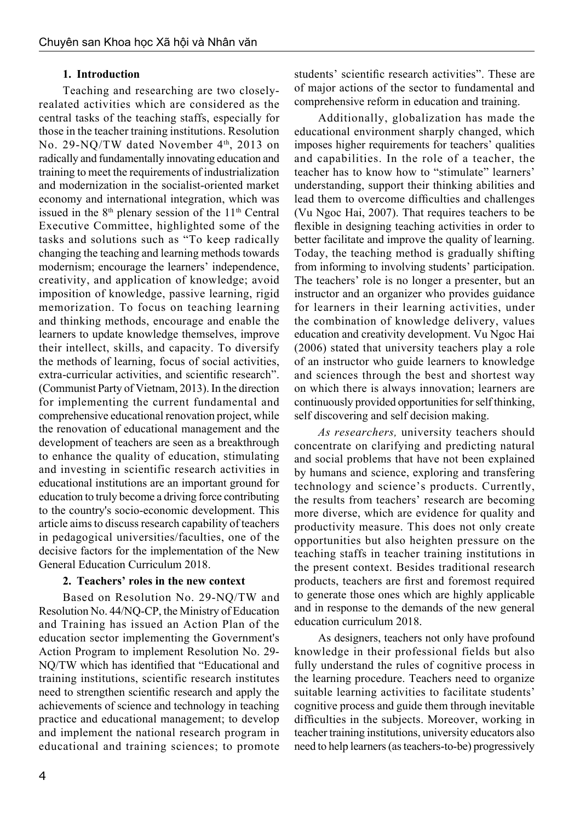#### **1. Introduction**

Teaching and researching are two closelyrealated activities which are considered as the central tasks of the teaching staffs, especially for those in the teacher training institutions. Resolution No. 29-NQ/TW dated November 4<sup>th</sup>, 2013 on radically and fundamentally innovating education and training to meet the requirements of industrialization and modernization in the socialist-oriented market economy and international integration, which was issued in the  $8<sup>th</sup>$  plenary session of the  $11<sup>th</sup>$  Central Executive Committee, highlighted some of the tasks and solutions such as "To keep radically changing the teaching and learning methods towards modernism; encourage the learners' independence, creativity, and application of knowledge; avoid imposition of knowledge, passive learning, rigid memorization. To focus on teaching learning and thinking methods, encourage and enable the learners to update knowledge themselves, improve their intellect, skills, and capacity. To diversify the methods of learning, focus of social activities, extra-curricular activities, and scientific research". (Communist Party of Vietnam, 2013). In the direction for implementing the current fundamental and comprehensive educational renovation project, while the renovation of educational management and the development of teachers are seen as a breakthrough to enhance the quality of education, stimulating and investing in scientific research activities in educational institutions are an important ground for education to truly become a driving force contributing to the country's socio-economic development. This article aims to discuss research capability of teachers in pedagogical universities/faculties, one of the decisive factors for the implementation of the New General Education Curriculum 2018.

#### **2. Teachers' roles in the new context**

Based on Resolution No. 29-NQ/TW and Resolution No. 44/NQ-CP, the Ministry of Education and Training has issued an Action Plan of the education sector implementing the Government's Action Program to implement Resolution No. 29- NQ/TW which has identified that "Educational and training institutions, scientific research institutes need to strengthen scientific research and apply the achievements of science and technology in teaching practice and educational management; to develop and implement the national research program in educational and training sciences; to promote students' scientific research activities". These are of major actions of the sector to fundamental and comprehensive reform in education and training.

Additionally, globalization has made the educational environment sharply changed, which imposes higher requirements for teachers' qualities and capabilities. In the role of a teacher, the teacher has to know how to "stimulate" learners' understanding, support their thinking abilities and lead them to overcome difficulties and challenges (Vu Ngoc Hai, 2007). That requires teachers to be flexible in designing teaching activities in order to better facilitate and improve the quality of learning. Today, the teaching method is gradually shifting from informing to involving students' participation. The teachers' role is no longer a presenter, but an instructor and an organizer who provides guidance for learners in their learning activities, under the combination of knowledge delivery, values education and creativity development. Vu Ngoc Hai (2006) stated that university teachers play a role of an instructor who guide learners to knowledge and sciences through the best and shortest way on which there is always innovation; learners are continuously provided opportunities for self thinking, self discovering and self decision making.

*As researchers,* university teachers should concentrate on clarifying and predicting natural and social problems that have not been explained by humans and science, exploring and transfering technology and science's products. Currently, the results from teachers' research are becoming more diverse, which are evidence for quality and productivity measure. This does not only create opportunities but also heighten pressure on the teaching staffs in teacher training institutions in the present context. Besides traditional research products, teachers are first and foremost required to generate those ones which are highly applicable and in response to the demands of the new general education curriculum 2018.

As designers, teachers not only have profound knowledge in their professional fields but also fully understand the rules of cognitive process in the learning procedure. Teachers need to organize suitable learning activities to facilitate students' cognitive process and guide them through inevitable difficulties in the subjects. Moreover, working in teacher training institutions, university educators also need to help learners (as teachers-to-be) progressively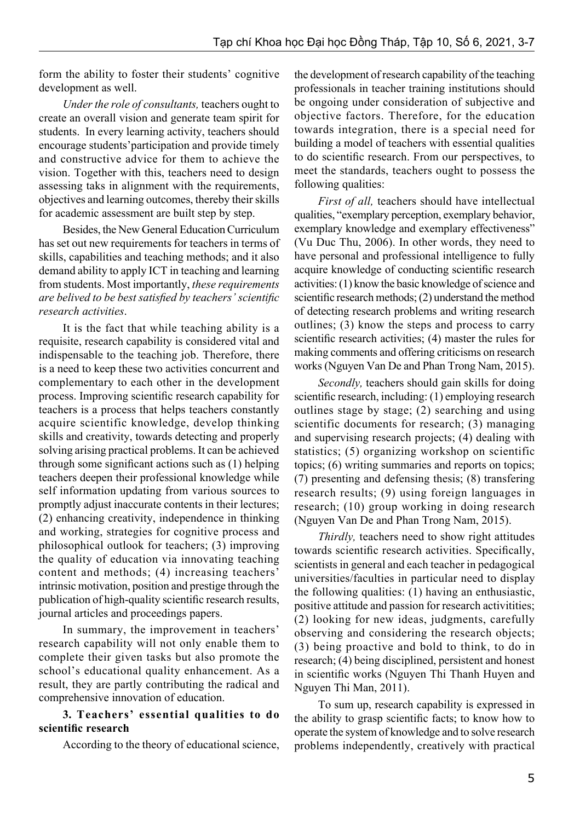form the ability to foster their students' cognitive development as well.

*Under the role of consultants,* teachers ought to create an overall vision and generate team spirit for students. In every learning activity, teachers should encourage students'participation and provide timely and constructive advice for them to achieve the vision. Together with this, teachers need to design assessing taks in alignment with the requirements, objectives and learning outcomes, thereby their skills for academic assessment are built step by step.

Besides, the New General Education Curriculum has set out new requirements for teachers in terms of skills, capabilities and teaching methods; and it also demand ability to apply ICT in teaching and learning from students. Most importantly, *these requirements are belived to be best satisfied by teachers' scientific research activities*.

It is the fact that while teaching ability is a requisite, research capability is considered vital and indispensable to the teaching job. Therefore, there is a need to keep these two activities concurrent and complementary to each other in the development process. Improving scientific research capability for teachers is a process that helps teachers constantly acquire scientific knowledge, develop thinking skills and creativity, towards detecting and properly solving arising practical problems. It can be achieved through some significant actions such as (1) helping teachers deepen their professional knowledge while self information updating from various sources to promptly adjust inaccurate contents in their lectures; (2) enhancing creativity, independence in thinking and working, strategies for cognitive process and philosophical outlook for teachers; (3) improving the quality of education via innovating teaching content and methods; (4) increasing teachers' intrinsic motivation, position and prestige through the publication of high-quality scientific research results, journal articles and proceedings papers.

In summary, the improvement in teachers' research capability will not only enable them to complete their given tasks but also promote the school's educational quality enhancement. As a result, they are partly contributing the radical and comprehensive innovation of education.

#### **3. Teachers' essential qualities to do scientific research**

According to the theory of educational science,

the development of research capability of the teaching professionals in teacher training institutions should be ongoing under consideration of subjective and objective factors. Therefore, for the education towards integration, there is a special need for building a model of teachers with essential qualities to do scientific research. From our perspectives, to meet the standards, teachers ought to possess the following qualities:

*First of all,* teachers should have intellectual qualities, "exemplary perception, exemplary behavior, exemplary knowledge and exemplary effectiveness" (Vu Duc Thu, 2006). In other words, they need to have personal and professional intelligence to fully acquire knowledge of conducting scientific research activities: (1) know the basic knowledge of science and scientific research methods; (2) understand the method of detecting research problems and writing research outlines; (3) know the steps and process to carry scientific research activities; (4) master the rules for making comments and offering criticisms on research works (Nguyen Van De and Phan Trong Nam, 2015).

*Secondly,* teachers should gain skills for doing scientific research, including: (1) employing research outlines stage by stage; (2) searching and using scientific documents for research; (3) managing and supervising research projects; (4) dealing with statistics; (5) organizing workshop on scientific topics; (6) writing summaries and reports on topics; (7) presenting and defensing thesis; (8) transfering research results; (9) using foreign languages in research; (10) group working in doing research (Nguyen Van De and Phan Trong Nam, 2015).

*Thirdly,* teachers need to show right attitudes towards scientific research activities. Specifically, scientists in general and each teacher in pedagogical universities/faculties in particular need to display the following qualities: (1) having an enthusiastic, positive attitude and passion for research activitities; (2) looking for new ideas, judgments, carefully observing and considering the research objects; (3) being proactive and bold to think, to do in research; (4) being disciplined, persistent and honest in scientific works (Nguyen Thi Thanh Huyen and Nguyen Thi Man, 2011).

To sum up, research capability is expressed in the ability to grasp scientific facts; to know how to operate the system of knowledge and to solve research problems independently, creatively with practical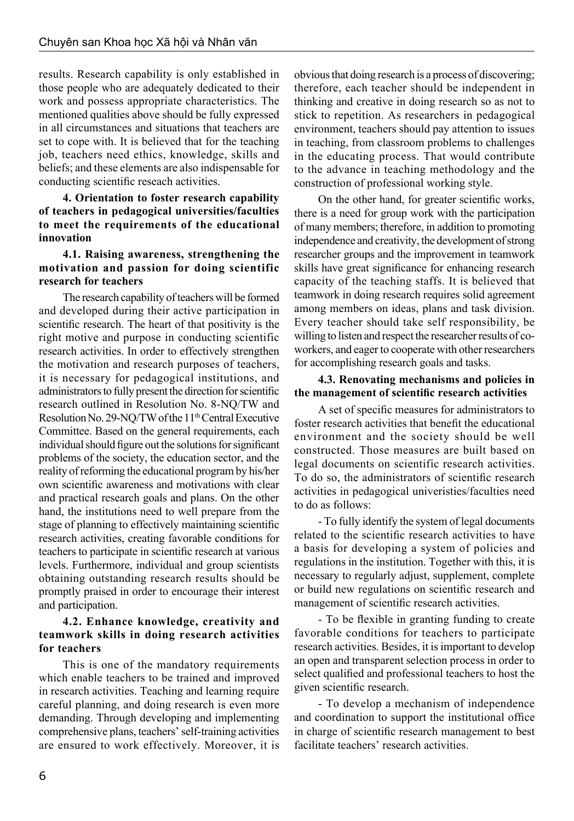results. Research capability is only established in those people who are adequately dedicated to their work and possess appropriate characteristics. The mentioned qualities above should be fully expressed in all circumstances and situations that teachers are set to cope with. It is believed that for the teaching job, teachers need ethics, knowledge, skills and beliefs; and these elements are also indispensable for conducting scientific reseach activities.

**4. Orientation to foster research capability of teachers in pedagogical universities/faculties to meet the requirements of the educational innovation**

#### **4.1. Raising awareness, strengthening the motivation and passion for doing scientific research for teachers**

The research capability of teachers will be formed and developed during their active participation in scientific research. The heart of that positivity is the right motive and purpose in conducting scientific research activities. In order to effectively strengthen the motivation and research purposes of teachers, it is necessary for pedagogical institutions, and administrators to fully present the direction for scientific research outlined in Resolution No. 8-NQ/TW and Resolution No. 29-NO/TW of the 11<sup>th</sup> Central Executive Committee. Based on the general requirements, each individual should figure out the solutions for significant problems of the society, the education sector, and the reality of reforming the educational program by his/her own scientific awareness and motivations with clear and practical research goals and plans. On the other hand, the institutions need to well prepare from the stage of planning to effectively maintaining scientific research activities, creating favorable conditions for teachers to participate in scientific research at various levels. Furthermore, individual and group scientists obtaining outstanding research results should be promptly praised in order to encourage their interest and participation.

#### **4.2. Enhance knowledge, creativity and teamwork skills in doing research activities for teachers**

This is one of the mandatory requirements which enable teachers to be trained and improved in research activities. Teaching and learning require careful planning, and doing research is even more demanding. Through developing and implementing comprehensive plans, teachers' self-training activities are ensured to work effectively. Moreover, it is obvious that doing research is a process of discovering; therefore, each teacher should be independent in thinking and creative in doing research so as not to stick to repetition. As researchers in pedagogical environment, teachers should pay attention to issues in teaching, from classroom problems to challenges in the educating process. That would contribute to the advance in teaching methodology and the construction of professional working style.

On the other hand, for greater scientific works, there is a need for group work with the participation of many members; therefore, in addition to promoting independence and creativity, the development of strong researcher groups and the improvement in teamwork skills have great significance for enhancing research capacity of the teaching staffs. It is believed that teamwork in doing research requires solid agreement among members on ideas, plans and task division. Every teacher should take self responsibility, be willing to listen and respect the researcher results of coworkers, and eager to cooperate with other researchers for accomplishing research goals and tasks.

#### **4.3. Renovating mechanisms and policies in the management of scientific research activities**

A set of specific measures for administrators to foster research activities that benefit the educational environment and the society should be well constructed. Those measures are built based on legal documents on scientific research activities. To do so, the administrators of scientific research activities in pedagogical univeristies/faculties need to do as follows:

- To fully identify the system of legal documents related to the scientific research activities to have a basis for developing a system of policies and regulations in the institution. Together with this, it is necessary to regularly adjust, supplement, complete or build new regulations on scientific research and management of scientific research activities.

- To be flexible in granting funding to create favorable conditions for teachers to participate research activities. Besides, it is important to develop an open and transparent selection process in order to select qualified and professional teachers to host the given scientific research.

- To develop a mechanism of independence and coordination to support the institutional office in charge of scientific research management to best facilitate teachers' research activities.